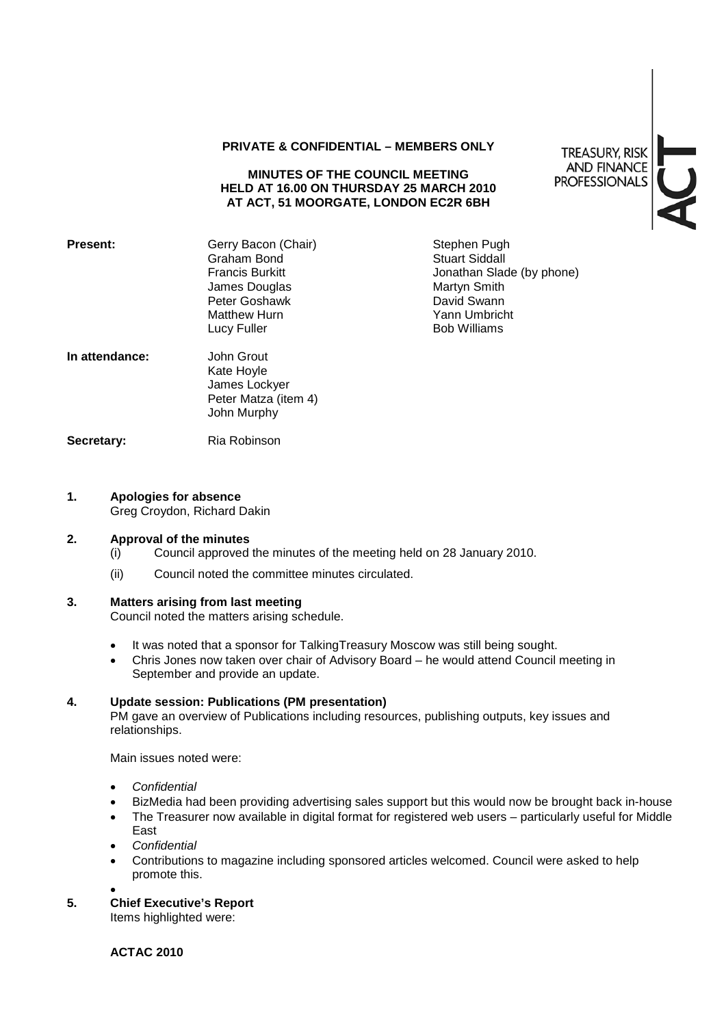## **PRIVATE & CONFIDENTIAL – MEMBERS ONLY**

## **MINUTES OF THE COUNCIL MEETING HELD AT 16.00 ON THURSDAY 25 MARCH 2010 AT ACT, 51 MOORGATE, LONDON EC2R 6BH**

**TREASURY, RISK AND FINANCE PROFESSIONALS** 

| <b>Present:</b> | Gerry Bacon (Chair)<br>Graham Bond<br><b>Francis Burkitt</b><br>James Douglas<br>Peter Goshawk<br><b>Matthew Hurn</b><br>Lucy Fuller | Stephen Pugh<br><b>Stuart Siddall</b><br>Jonathan Slade (by phone)<br>Martyn Smith<br>David Swann<br>Yann Umbricht<br><b>Bob Williams</b> |
|-----------------|--------------------------------------------------------------------------------------------------------------------------------------|-------------------------------------------------------------------------------------------------------------------------------------------|
| In attendance:  | John Grout<br>Kate Hoyle<br>James Lockyer<br>Peter Matza (item 4)<br>John Murphy                                                     |                                                                                                                                           |
| Secretary:      | Ria Robinson                                                                                                                         |                                                                                                                                           |

#### **1. Apologies for absence**

Greg Croydon, Richard Dakin

#### **2. Approval of the minutes**

- (i) Council approved the minutes of the meeting held on 28 January 2010.
- (ii) Council noted the committee minutes circulated.

## **3. Matters arising from last meeting**

Council noted the matters arising schedule.

- It was noted that a sponsor for TalkingTreasury Moscow was still being sought.
- Chris Jones now taken over chair of Advisory Board he would attend Council meeting in September and provide an update.

## **4. Update session: Publications (PM presentation)**

PM gave an overview of Publications including resources, publishing outputs, key issues and relationships.

Main issues noted were:

- *Confidential*
- BizMedia had been providing advertising sales support but this would now be brought back in-house
- The Treasurer now available in digital format for registered web users particularly useful for Middle East
- *Confidential*
- Contributions to magazine including sponsored articles welcomed. Council were asked to help promote this.
- •

# **5. Chief Executive's Report**

Items highlighted were:

**ACTAC 2010**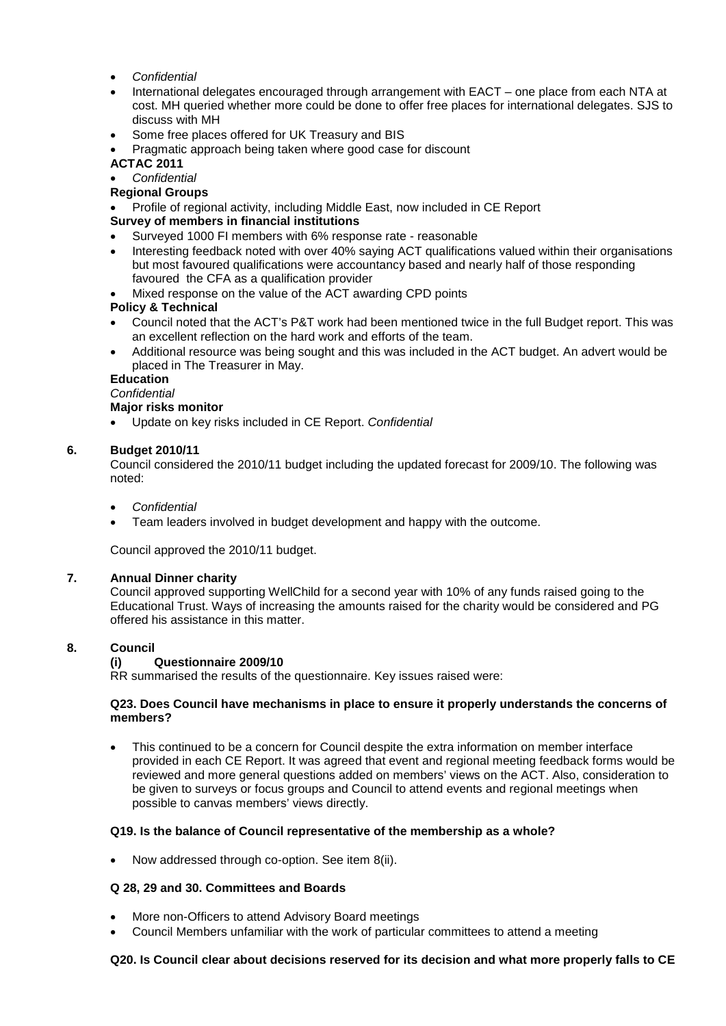- *Confidential*
- International delegates encouraged through arrangement with EACT one place from each NTA at cost. MH queried whether more could be done to offer free places for international delegates. SJS to discuss with MH
- Some free places offered for UK Treasury and BIS
- Pragmatic approach being taken where good case for discount

# **ACTAC 2011**

- *Confidential*
- **Regional Groups**
- Profile of regional activity, including Middle East, now included in CE Report

# **Survey of members in financial institutions**

- Surveyed 1000 FI members with 6% response rate reasonable
- Interesting feedback noted with over 40% saying ACT qualifications valued within their organisations but most favoured qualifications were accountancy based and nearly half of those responding favoured the CFA as a qualification provider
- Mixed response on the value of the ACT awarding CPD points

#### **Policy & Technical**

- Council noted that the ACT's P&T work had been mentioned twice in the full Budget report. This was an excellent reflection on the hard work and efforts of the team.
- Additional resource was being sought and this was included in the ACT budget. An advert would be placed in The Treasurer in May.

## **Education**

#### *Confidential*

## **Major risks monitor**

• Update on key risks included in CE Report. *Confidential*

## **6. Budget 2010/11**

Council considered the 2010/11 budget including the updated forecast for 2009/10. The following was noted:

- *Confidential*
- Team leaders involved in budget development and happy with the outcome.

Council approved the 2010/11 budget.

#### **7. Annual Dinner charity**

Council approved supporting WellChild for a second year with 10% of any funds raised going to the Educational Trust. Ways of increasing the amounts raised for the charity would be considered and PG offered his assistance in this matter.

## **8. Council**

# **(i) Questionnaire 2009/10**

RR summarised the results of the questionnaire. Key issues raised were:

## **Q23. Does Council have mechanisms in place to ensure it properly understands the concerns of members?**

• This continued to be a concern for Council despite the extra information on member interface provided in each CE Report. It was agreed that event and regional meeting feedback forms would be reviewed and more general questions added on members' views on the ACT. Also, consideration to be given to surveys or focus groups and Council to attend events and regional meetings when possible to canvas members' views directly.

#### **Q19. Is the balance of Council representative of the membership as a whole?**

• Now addressed through co-option. See item 8(ii).

## **Q 28, 29 and 30. Committees and Boards**

- More non-Officers to attend Advisory Board meetings
- Council Members unfamiliar with the work of particular committees to attend a meeting

## **Q20. Is Council clear about decisions reserved for its decision and what more properly falls to CE**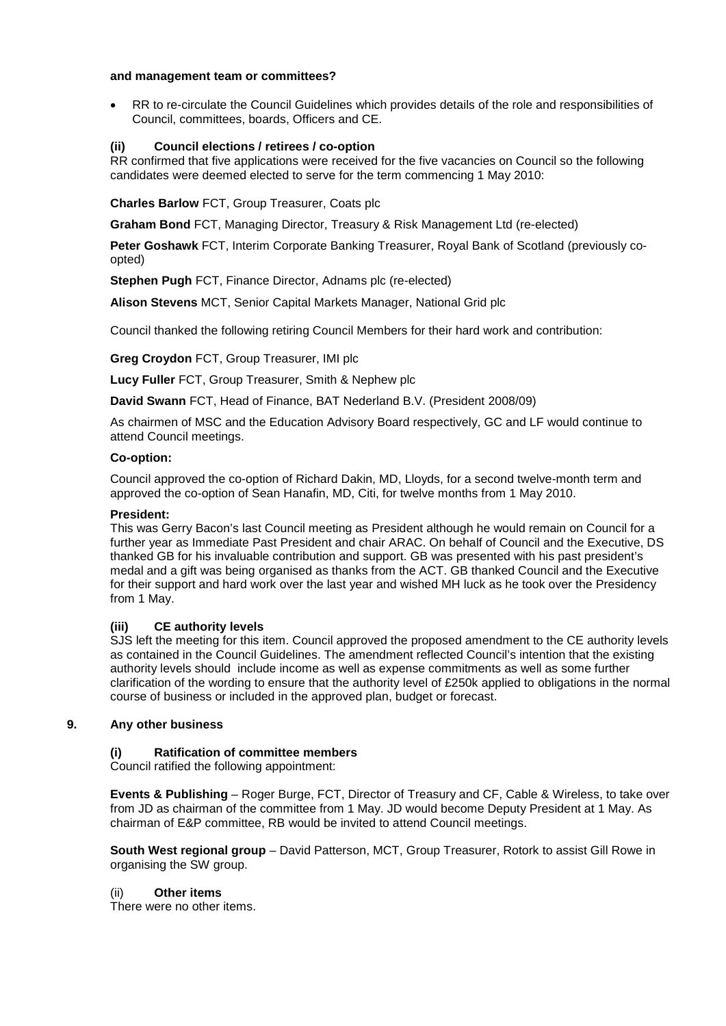#### **and management team or committees?**

• RR to re-circulate the Council Guidelines which provides details of the role and responsibilities of Council, committees, boards, Officers and CE.

#### **(ii) Council elections / retirees / co-option**

RR confirmed that five applications were received for the five vacancies on Council so the following candidates were deemed elected to serve for the term commencing 1 May 2010:

**Charles Barlow** FCT, Group Treasurer, Coats plc

**Graham Bond** FCT, Managing Director, Treasury & Risk Management Ltd (re-elected)

**Peter Goshawk** FCT, Interim Corporate Banking Treasurer, Royal Bank of Scotland (previously coopted)

**Stephen Pugh** FCT, Finance Director, Adnams plc (re-elected)

**Alison Stevens** MCT, Senior Capital Markets Manager, National Grid plc

Council thanked the following retiring Council Members for their hard work and contribution:

**Greg Croydon** FCT, Group Treasurer, IMI plc

**Lucy Fuller** FCT, Group Treasurer, Smith & Nephew plc

**David Swann** FCT, Head of Finance, BAT Nederland B.V. (President 2008/09)

As chairmen of MSC and the Education Advisory Board respectively, GC and LF would continue to attend Council meetings.

#### **Co-option:**

Council approved the co-option of Richard Dakin, MD, Lloyds, for a second twelve-month term and approved the co-option of Sean Hanafin, MD, Citi, for twelve months from 1 May 2010.

#### **President:**

This was Gerry Bacon's last Council meeting as President although he would remain on Council for a further year as Immediate Past President and chair ARAC. On behalf of Council and the Executive, DS thanked GB for his invaluable contribution and support. GB was presented with his past president's medal and a gift was being organised as thanks from the ACT. GB thanked Council and the Executive for their support and hard work over the last year and wished MH luck as he took over the Presidency from 1 May.

### **(iii) CE authority levels**

SJS left the meeting for this item. Council approved the proposed amendment to the CE authority levels as contained in the Council Guidelines. The amendment reflected Council's intention that the existing authority levels should include income as well as expense commitments as well as some further clarification of the wording to ensure that the authority level of £250k applied to obligations in the normal course of business or included in the approved plan, budget or forecast.

## **9. Any other business**

#### **(i) Ratification of committee members**

Council ratified the following appointment:

**Events & Publishing** – Roger Burge, FCT, Director of Treasury and CF, Cable & Wireless, to take over from JD as chairman of the committee from 1 May. JD would become Deputy President at 1 May. As chairman of E&P committee, RB would be invited to attend Council meetings.

**South West regional group** – David Patterson, MCT, Group Treasurer, Rotork to assist Gill Rowe in organising the SW group.

#### (ii) **Other items**

There were no other items.